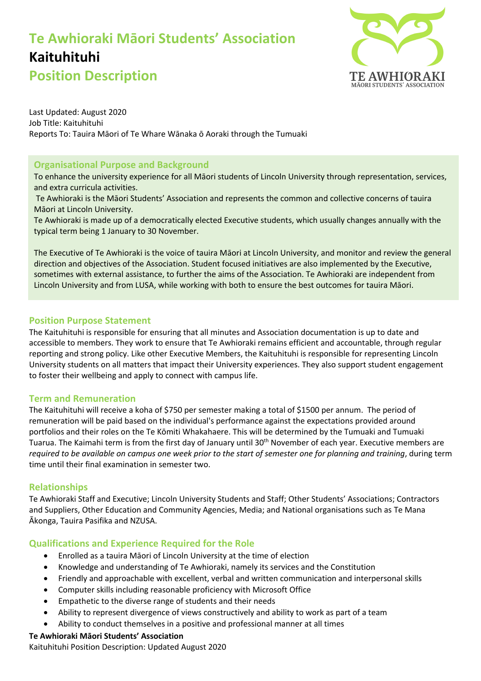## **Te Awhioraki Māori Students' Association Kaituhituhi**



**Position Description**

Last Updated: August 2020 Job Title: Kaituhituhi Reports To: Tauira Māori of Te Whare Wānaka ō Aoraki through the Tumuaki

## **Organisational Purpose and Background**

To enhance the university experience for all Māori students of Lincoln University through representation, services, and extra curricula activities.

Te Awhioraki is the Māori Students' Association and represents the common and collective concerns of tauira Māori at Lincoln University.

Te Awhioraki is made up of a democratically elected Executive students, which usually changes annually with the typical term being 1 January to 30 November.

The Executive of Te Awhioraki is the voice of tauira Māori at Lincoln University, and monitor and review the general direction and objectives of the Association. Student focused initiatives are also implemented by the Executive, sometimes with external assistance, to further the aims of the Association. Te Awhioraki are independent from Lincoln University and from LUSA, while working with both to ensure the best outcomes for tauira Māori.

## **Position Purpose Statement**

The Kaituhituhi is responsible for ensuring that all minutes and Association documentation is up to date and accessible to members. They work to ensure that Te Awhioraki remains efficient and accountable, through regular reporting and strong policy. Like other Executive Members, the Kaituhituhi is responsible for representing Lincoln University students on all matters that impact their University experiences. They also support student engagement to foster their wellbeing and apply to connect with campus life.

### **Term and Remuneration**

The Kaituhituhi will receive a koha of \$750 per semester making a total of \$1500 per annum. The period of remuneration will be paid based on the individual's performance against the expectations provided around portfolios and their roles on the Te Kōmiti Whakahaere. This will be determined by the Tumuaki and Tumuaki Tuarua. The Kaimahi term is from the first day of January until 30<sup>th</sup> November of each year. Executive members are *required to be available on campus one week prior to the start of semester one for planning and training*, during term time until their final examination in semester two.

## **Relationships**

Te Awhioraki Staff and Executive; Lincoln University Students and Staff; Other Students' Associations; Contractors and Suppliers, Other Education and Community Agencies, Media; and National organisations such as Te Mana Ākonga, Tauira Pasifika and NZUSA.

## **Qualifications and Experience Required for the Role**

- Enrolled as a tauira Māori of Lincoln University at the time of election
- Knowledge and understanding of Te Awhioraki, namely its services and the Constitution
- Friendly and approachable with excellent, verbal and written communication and interpersonal skills
- Computer skills including reasonable proficiency with Microsoft Office
- Empathetic to the diverse range of students and their needs
- Ability to represent divergence of views constructively and ability to work as part of a team
- Ability to conduct themselves in a positive and professional manner at all times

## **Te Awhioraki Māori Students' Association**

Kaituhituhi Position Description: Updated August 2020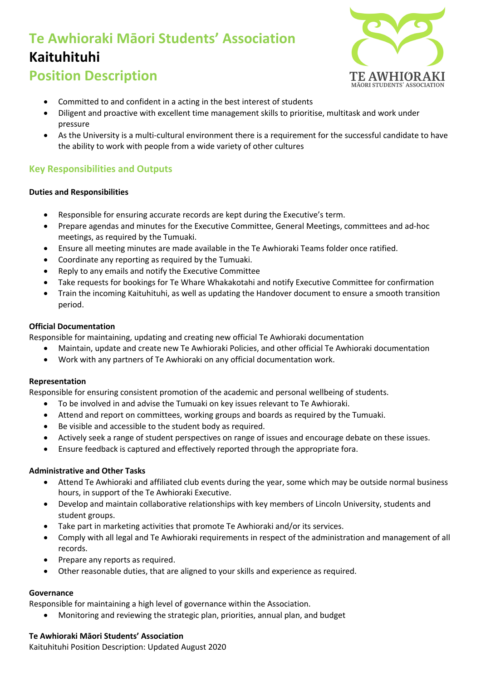## **Te Awhioraki Māori Students' Association Kaituhituhi**



## **Position Description**

- Committed to and confident in a acting in the best interest of students
- Diligent and proactive with excellent time management skills to prioritise, multitask and work under pressure
- As the University is a multi-cultural environment there is a requirement for the successful candidate to have the ability to work with people from a wide variety of other cultures

## **Key Responsibilities and Outputs**

### **Duties and Responsibilities**

- Responsible for ensuring accurate records are kept during the Executive's term.
- Prepare agendas and minutes for the Executive Committee, General Meetings, committees and ad-hoc meetings, as required by the Tumuaki.
- Ensure all meeting minutes are made available in the Te Awhioraki Teams folder once ratified.
- Coordinate any reporting as required by the Tumuaki.
- Reply to any emails and notify the Executive Committee
- Take requests for bookings for Te Whare Whakakotahi and notify Executive Committee for confirmation
- Train the incoming Kaituhituhi, as well as updating the Handover document to ensure a smooth transition period.

### **Official Documentation**

Responsible for maintaining, updating and creating new official Te Awhioraki documentation

- Maintain, update and create new Te Awhioraki Policies, and other official Te Awhioraki documentation
- Work with any partners of Te Awhioraki on any official documentation work.

### **Representation**

Responsible for ensuring consistent promotion of the academic and personal wellbeing of students.

- To be involved in and advise the Tumuaki on key issues relevant to Te Awhioraki.
- Attend and report on committees, working groups and boards as required by the Tumuaki.
- Be visible and accessible to the student body as required.
- Actively seek a range of student perspectives on range of issues and encourage debate on these issues.
- Ensure feedback is captured and effectively reported through the appropriate fora.

### **Administrative and Other Tasks**

- Attend Te Awhioraki and affiliated club events during the year, some which may be outside normal business hours, in support of the Te Awhioraki Executive.
- Develop and maintain collaborative relationships with key members of Lincoln University, students and student groups.
- Take part in marketing activities that promote Te Awhioraki and/or its services.
- Comply with all legal and Te Awhioraki requirements in respect of the administration and management of all records.
- Prepare any reports as required.
- Other reasonable duties, that are aligned to your skills and experience as required.

### **Governance**

Responsible for maintaining a high level of governance within the Association.

• Monitoring and reviewing the strategic plan, priorities, annual plan, and budget

## **Te Awhioraki Māori Students' Association**

Kaituhituhi Position Description: Updated August 2020